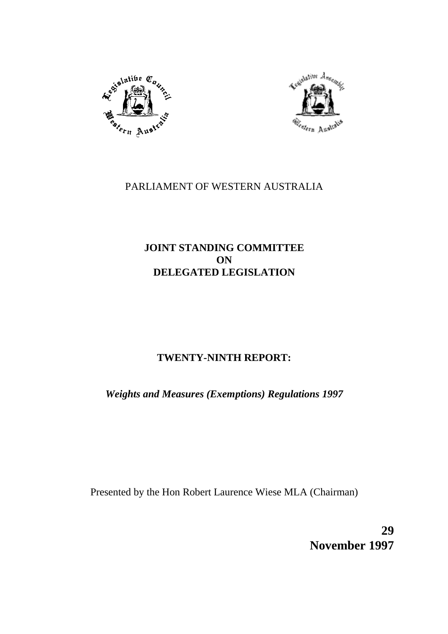



# PARLIAMENT OF WESTERN AUSTRALIA

# **JOINT STANDING COMMITTEE ON DELEGATED LEGISLATION**

# **TWENTY-NINTH REPORT:**

*Weights and Measures (Exemptions) Regulations 1997*

Presented by the Hon Robert Laurence Wiese MLA (Chairman)

**29 November 1997**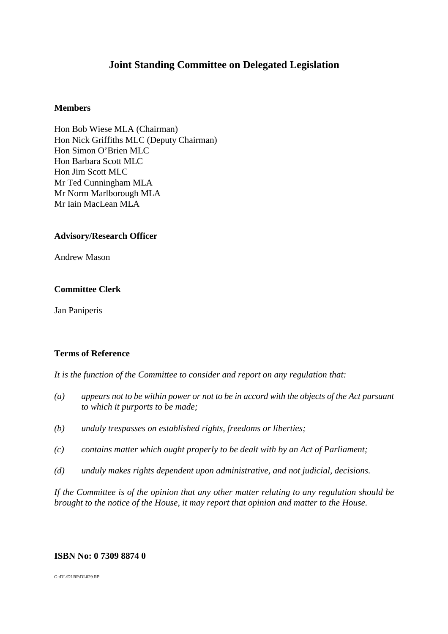# **Joint Standing Committee on Delegated Legislation**

### **Members**

Hon Bob Wiese MLA (Chairman) Hon Nick Griffiths MLC (Deputy Chairman) Hon Simon O'Brien MLC Hon Barbara Scott MLC Hon Jim Scott MLC Mr Ted Cunningham MLA Mr Norm Marlborough MLA Mr Iain MacLean MLA

### **Advisory/Research Officer**

Andrew Mason

### **Committee Clerk**

Jan Paniperis

### **Terms of Reference**

*It is the function of the Committee to consider and report on any regulation that:*

- *(a) appears not to be within power or not to be in accord with the objects of the Act pursuant to which it purports to be made;*
- *(b) unduly trespasses on established rights, freedoms or liberties;*
- *(c) contains matter which ought properly to be dealt with by an Act of Parliament;*
- *(d) unduly makes rights dependent upon administrative, and not judicial, decisions.*

*If the Committee is of the opinion that any other matter relating to any regulation should be brought to the notice of the House, it may report that opinion and matter to the House.*

### **ISBN No: 0 7309 8874 0**

G:\DL\DLRP\DL029.RP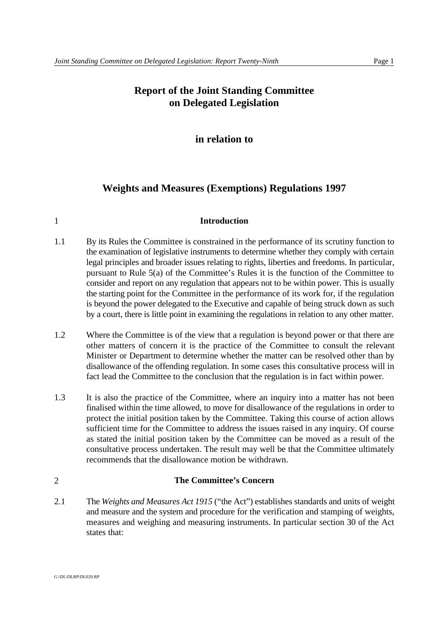# **Report of the Joint Standing Committee on Delegated Legislation**

## **in relation to**

### **Weights and Measures (Exemptions) Regulations 1997**

### 1 **Introduction**

- 1.1 By its Rules the Committee is constrained in the performance of its scrutiny function to the examination of legislative instruments to determine whether they comply with certain legal principles and broader issues relating to rights, liberties and freedoms. In particular, pursuant to Rule 5(a) of the Committee's Rules it is the function of the Committee to consider and report on any regulation that appears not to be within power. This is usually the starting point for the Committee in the performance of its work for, if the regulation is beyond the power delegated to the Executive and capable of being struck down as such by a court, there is little point in examining the regulations in relation to any other matter.
- 1.2 Where the Committee is of the view that a regulation is beyond power or that there are other matters of concern it is the practice of the Committee to consult the relevant Minister or Department to determine whether the matter can be resolved other than by disallowance of the offending regulation. In some cases this consultative process will in fact lead the Committee to the conclusion that the regulation is in fact within power.
- 1.3 It is also the practice of the Committee, where an inquiry into a matter has not been finalised within the time allowed, to move for disallowance of the regulations in order to protect the initial position taken by the Committee. Taking this course of action allows sufficient time for the Committee to address the issues raised in any inquiry. Of course as stated the initial position taken by the Committee can be moved as a result of the consultative process undertaken. The result may well be that the Committee ultimately recommends that the disallowance motion be withdrawn.

### 2 **The Committee's Concern**

2.1 The *Weights and Measures Act 1915* ("the Act") establishes standards and units of weight and measure and the system and procedure for the verification and stamping of weights, measures and weighing and measuring instruments. In particular section 30 of the Act states that:

G:\DL\DLRP\DL029.RP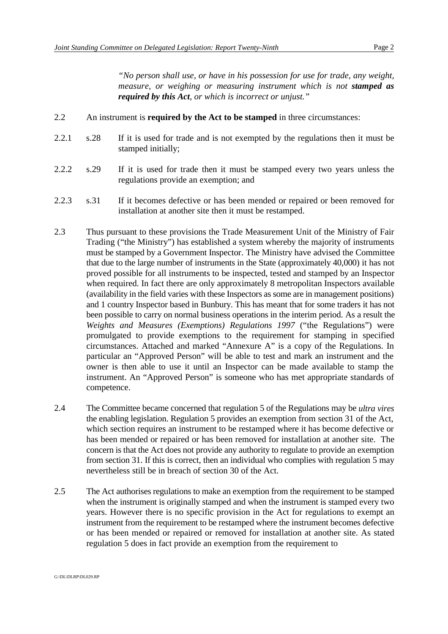*"No person shall use, or have in his possession for use for trade, any weight, measure, or weighing or measuring instrument which is not <i>stamped as required by this Act, or which is incorrect or unjust."*

- 2.2 An instrument is **required by the Act to be stamped** in three circumstances:
- 2.2.1 s.28 If it is used for trade and is not exempted by the regulations then it must be stamped initially;
- 2.2.2 s.29 If it is used for trade then it must be stamped every two years unless the regulations provide an exemption; and
- 2.2.3 s.31 If it becomes defective or has been mended or repaired or been removed for installation at another site then it must be restamped.
- 2.3 Thus pursuant to these provisions the Trade Measurement Unit of the Ministry of Fair Trading ("the Ministry") has established a system whereby the majority of instruments must be stamped by a Government Inspector. The Ministry have advised the Committee that due to the large number of instruments in the State (approximately 40,000) it has not proved possible for all instruments to be inspected, tested and stamped by an Inspector when required. In fact there are only approximately 8 metropolitan Inspectors available (availability in the field varies with these Inspectors as some are in management positions) and 1 country Inspector based in Bunbury. This has meant that for some traders it has not been possible to carry on normal business operations in the interim period. As a result the *Weights and Measures (Exemptions) Regulations 1997* ("the Regulations") were promulgated to provide exemptions to the requirement for stamping in specified circumstances. Attached and marked "Annexure A" is a copy of the Regulations. In particular an "Approved Person" will be able to test and mark an instrument and the owner is then able to use it until an Inspector can be made available to stamp the instrument. An "Approved Person" is someone who has met appropriate standards of competence.
- 2.4 The Committee became concerned that regulation 5 of the Regulations may be *ultra vires* the enabling legislation. Regulation 5 provides an exemption from section 31 of the Act, which section requires an instrument to be restamped where it has become defective or has been mended or repaired or has been removed for installation at another site. The concern is that the Act does not provide any authority to regulate to provide an exemption from section 31. If this is correct, then an individual who complies with regulation 5 may nevertheless still be in breach of section 30 of the Act.
- 2.5 The Act authorises regulations to make an exemption from the requirement to be stamped when the instrument is originally stamped and when the instrument is stamped every two years. However there is no specific provision in the Act for regulations to exempt an instrument from the requirement to be restamped where the instrument becomes defective or has been mended or repaired or removed for installation at another site. As stated regulation 5 does in fact provide an exemption from the requirement to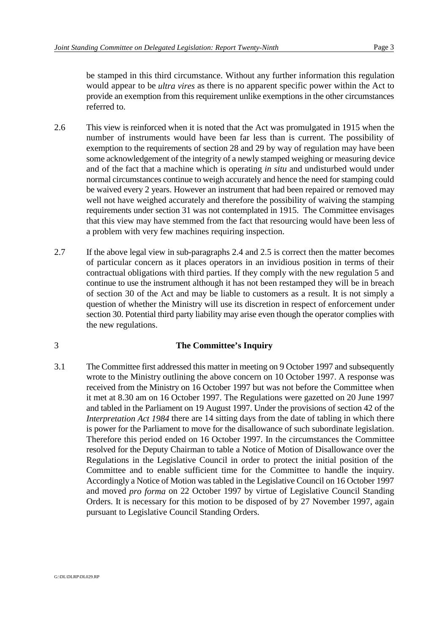be stamped in this third circumstance. Without any further information this regulation would appear to be *ultra vires* as there is no apparent specific power within the Act to provide an exemption from this requirement unlike exemptions in the other circumstances referred to.

- 2.6 This view is reinforced when it is noted that the Act was promulgated in 1915 when the number of instruments would have been far less than is current. The possibility of exemption to the requirements of section 28 and 29 by way of regulation may have been some acknowledgement of the integrity of a newly stamped weighing or measuring device and of the fact that a machine which is operating *in situ* and undisturbed would under normal circumstances continue to weigh accurately and hence the need for stamping could be waived every 2 years. However an instrument that had been repaired or removed may well not have weighed accurately and therefore the possibility of waiving the stamping requirements under section 31 was not contemplated in 1915. The Committee envisages that this view may have stemmed from the fact that resourcing would have been less of a problem with very few machines requiring inspection.
- 2.7 If the above legal view in sub-paragraphs 2.4 and 2.5 is correct then the matter becomes of particular concern as it places operators in an invidious position in terms of their contractual obligations with third parties. If they comply with the new regulation 5 and continue to use the instrument although it has not been restamped they will be in breach of section 30 of the Act and may be liable to customers as a result. It is not simply a question of whether the Ministry will use its discretion in respect of enforcement under section 30. Potential third party liability may arise even though the operator complies with the new regulations.

### 3 **The Committee's Inquiry**

3.1 The Committee first addressed this matter in meeting on 9 October 1997 and subsequently wrote to the Ministry outlining the above concern on 10 October 1997. A response was received from the Ministry on 16 October 1997 but was not before the Committee when it met at 8.30 am on 16 October 1997. The Regulations were gazetted on 20 June 1997 and tabled in the Parliament on 19 August 1997. Under the provisions of section 42 of the *Interpretation Act 1984* there are 14 sitting days from the date of tabling in which there is power for the Parliament to move for the disallowance of such subordinate legislation. Therefore this period ended on 16 October 1997. In the circumstances the Committee resolved for the Deputy Chairman to table a Notice of Motion of Disallowance over the Regulations in the Legislative Council in order to protect the initial position of the Committee and to enable sufficient time for the Committee to handle the inquiry. Accordingly a Notice of Motion was tabled in the Legislative Council on 16 October 1997 and moved *pro forma* on 22 October 1997 by virtue of Legislative Council Standing Orders. It is necessary for this motion to be disposed of by 27 November 1997, again pursuant to Legislative Council Standing Orders.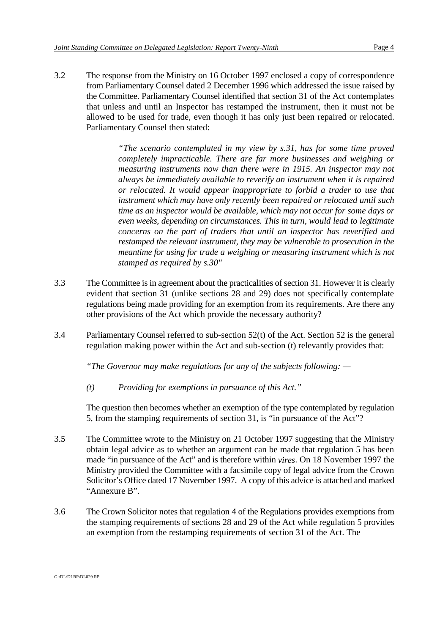3.2 The response from the Ministry on 16 October 1997 enclosed a copy of correspondence from Parliamentary Counsel dated 2 December 1996 which addressed the issue raised by the Committee. Parliamentary Counsel identified that section 31 of the Act contemplates that unless and until an Inspector has restamped the instrument, then it must not be allowed to be used for trade, even though it has only just been repaired or relocated. Parliamentary Counsel then stated:

> *"The scenario contemplated in my view by s.31, has for some time proved completely impracticable. There are far more businesses and weighing or measuring instruments now than there were in 1915. An inspector may not always be immediately available to reverify an instrument when it is repaired or relocated. It would appear inappropriate to forbid a trader to use that instrument which may have only recently been repaired or relocated until such time as an inspector would be available, which may not occur for some days or even weeks, depending on circumstances. This in turn, would lead to legitimate concerns on the part of traders that until an inspector has reverified and restamped the relevant instrument, they may be vulnerable to prosecution in the meantime for using for trade a weighing or measuring instrument which is not stamped as required by s.30"*

- 3.3 The Committee is in agreement about the practicalities of section 31. However it is clearly evident that section 31 (unlike sections 28 and 29) does not specifically contemplate regulations being made providing for an exemption from its requirements. Are there any other provisions of the Act which provide the necessary authority?
- 3.4 Parliamentary Counsel referred to sub-section 52(t) of the Act. Section 52 is the general regulation making power within the Act and sub-section (t) relevantly provides that:

*"The Governor may make regulations for any of the subjects following: —* 

*(t) Providing for exemptions in pursuance of this Act."*

The question then becomes whether an exemption of the type contemplated by regulation 5, from the stamping requirements of section 31, is "in pursuance of the Act"?

- 3.5 The Committee wrote to the Ministry on 21 October 1997 suggesting that the Ministry obtain legal advice as to whether an argument can be made that regulation 5 has been made "in pursuance of the Act" and is therefore within *vires*. On 18 November 1997 the Ministry provided the Committee with a facsimile copy of legal advice from the Crown Solicitor's Office dated 17 November 1997. A copy of this advice is attached and marked "Annexure B".
- 3.6 The Crown Solicitor notes that regulation 4 of the Regulations provides exemptions from the stamping requirements of sections 28 and 29 of the Act while regulation 5 provides an exemption from the restamping requirements of section 31 of the Act. The

G:\DL\DLRP\DL029.RP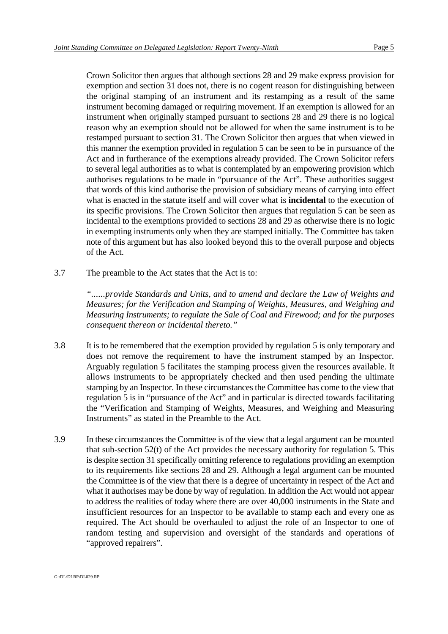Crown Solicitor then argues that although sections 28 and 29 make express provision for exemption and section 31 does not, there is no cogent reason for distinguishing between the original stamping of an instrument and its restamping as a result of the same instrument becoming damaged or requiring movement. If an exemption is allowed for an instrument when originally stamped pursuant to sections 28 and 29 there is no logical reason why an exemption should not be allowed for when the same instrument is to be restamped pursuant to section 31. The Crown Solicitor then argues that when viewed in this manner the exemption provided in regulation 5 can be seen to be in pursuance of the Act and in furtherance of the exemptions already provided. The Crown Solicitor refers to several legal authorities as to what is contemplated by an empowering provision which authorises regulations to be made in "pursuance of the Act". These authorities suggest that words of this kind authorise the provision of subsidiary means of carrying into effect what is enacted in the statute itself and will cover what is **incidental** to the execution of its specific provisions. The Crown Solicitor then argues that regulation 5 can be seen as incidental to the exemptions provided to sections 28 and 29 as otherwise there is no logic in exempting instruments only when they are stamped initially. The Committee has taken note of this argument but has also looked beyond this to the overall purpose and objects of the Act.

3.7 The preamble to the Act states that the Act is to:

*"......provide Standards and Units, and to amend and declare the Law of Weights and Measures; for the Verification and Stamping of Weights, Measures, and Weighing and Measuring Instruments; to regulate the Sale of Coal and Firewood; and for the purposes consequent thereon or incidental thereto."*

- 3.8 It is to be remembered that the exemption provided by regulation 5 is only temporary and does not remove the requirement to have the instrument stamped by an Inspector. Arguably regulation 5 facilitates the stamping process given the resources available. It allows instruments to be appropriately checked and then used pending the ultimate stamping by an Inspector. In these circumstances the Committee has come to the view that regulation 5 is in "pursuance of the Act" and in particular is directed towards facilitating the "Verification and Stamping of Weights, Measures, and Weighing and Measuring Instruments" as stated in the Preamble to the Act.
- 3.9 In these circumstances the Committee is of the view that a legal argument can be mounted that sub-section 52(t) of the Act provides the necessary authority for regulation 5. This is despite section 31 specifically omitting reference to regulations providing an exemption to its requirements like sections 28 and 29. Although a legal argument can be mounted the Committee is of the view that there is a degree of uncertainty in respect of the Act and what it authorises may be done by way of regulation. In addition the Act would not appear to address the realities of today where there are over 40,000 instruments in the State and insufficient resources for an Inspector to be available to stamp each and every one as required. The Act should be overhauled to adjust the role of an Inspector to one of random testing and supervision and oversight of the standards and operations of "approved repairers".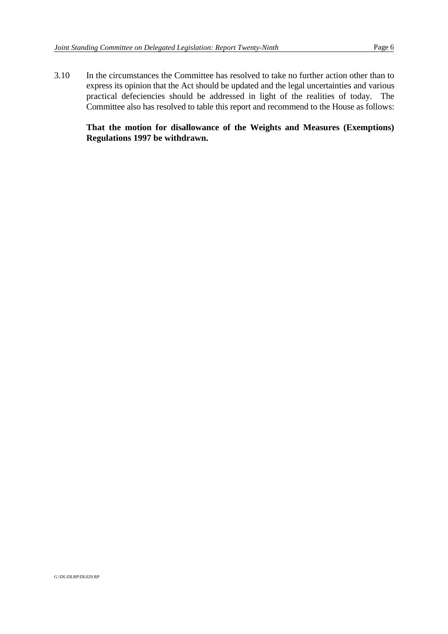3.10 In the circumstances the Committee has resolved to take no further action other than to express its opinion that the Act should be updated and the legal uncertainties and various practical defeciencies should be addressed in light of the realities of today. The Committee also has resolved to table this report and recommend to the House as follows:

### **That the motion for disallowance of the Weights and Measures (Exemptions) Regulations 1997 be withdrawn.**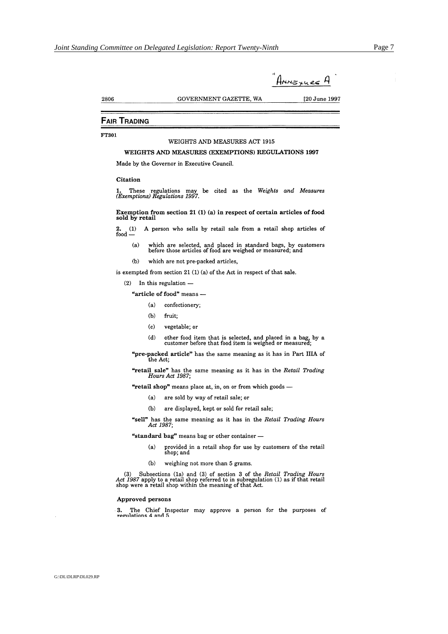$\mathbf{I}$ 

| - 1<br>HNNG YU RE |  |
|-------------------|--|
|                   |  |

[20 June 1997

2806

GOVERNMENT GAZETTE, WA

#### **FAIR TRADING**

FT301

#### WEIGHTS AND MEASURES ACT 1915

#### WEIGHTS AND MEASURES (EXEMPTIONS) REGULATIONS 1997

Made by the Governor in Executive Council.

#### Citation

1. These regulations may be cited as the Weights and Measures (Exemptions) Regulations 1997.

Exemption from section 21 $(1)$  $(a)$  in respect of certain articles of food sold by retail

2.  $(1)$  A person who sells by retail sale from a retail shop articles of food  $-$ 

- which are selected, and placed in standard bags, by customers before those articles of food are weighed or measured; and  $(a)$
- $(b)$ which are not pre-packed articles,

is exempted from section 21 (1) (a) of the Act in respect of that sale.

 $(2)$  In this regulation  $-$ 

"article of food" means -

- $(a)$ confectionery;
- $(b)$ fruit:
- $(c)$ vegetable; or
- other food item that is selected, and placed in a bag, by a customer before that food item is weighed or measured;  $(b)$

"pre-packed article" has the same meaning as it has in Part IIIA of the Act;

"retail sale" has the same meaning as it has in the Retail Trading Hours Act 1987;

"retail shop" means place at, in, on or from which goods -

- $(a)$ are sold by way of retail sale; or
- $(b)$ are displayed, kept or sold for retail sale;

"sell" has the same meaning as it has in the Retail Trading Hours Act 1987;

"standard bag" means bag or other container -

- provided in a retail shop for use by customers of the retail shop; and  $(a)$
- $(b)$ weighing not more than 5 grams.

(3) Subsections (1a) and (3) of section 3 of the *Retail Trading Hours Act 1987* apply to a retail shop referred to in subregulation (1) as if that retail shop were a retail shop within the meaning of that Act.

#### Approved persons

The Chief Inspector may approve a person for the purposes of 3. regulations 4 and 5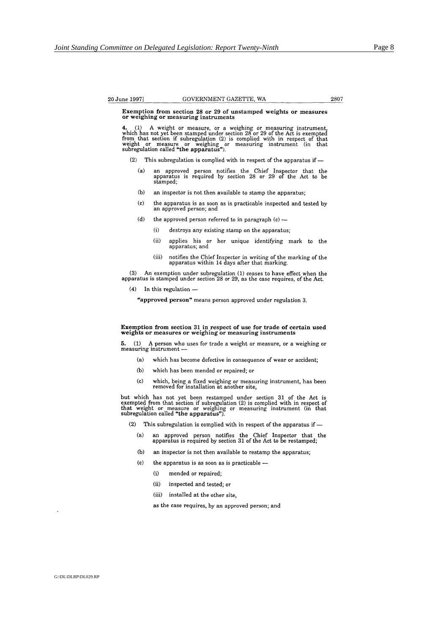#### 20 June 1997]

#### GOVERNMENT GAZETTE, WA

2807

Exemption from section 28 or 29 of unstamped weights or measures or weighing or measuring instruments

4. (1) A weight or measure, or a weighing or measuring instrument, which has not yet been stamped under section 28 or 29 of the Act is exempted from that section if subregulation (2) is complied with in respect of that we

 $(2)$ This subregulation is complied with in respect of the apparatus if  $-$ 

- an approved person notifies the Chief Inspector that the apparatus is required by section 28 or 29 of the Act to be  $(a)$ stamped;
- $(b)$ an inspector is not then available to stamp the apparatus;
- $\left( \mathrm{c}\right)$ the apparatus is as soon as is practicable inspected and tested by an approved person; and
- $(d)$ the approved person referred to in paragraph (c)
	- destroys any existing stamp on the apparatus;  $(i)$
	- $(ii)$ applies his or her unique identifying mark to the apparatus; and
	- notifies the Chief Inspector in writing of the marking of the apparatus within 14 days after that marking.  $(iii)$

(3) An exemption under subregulation (1) ceases to have effect when the apparatus is stamped under section 28 or 29, as the case requires, of the Act.

(4) In this regulation -

"approved person" means person approved under regulation 3.

#### Exemption from section 31 in respect of use for trade of certain used weights or measures or weighing or measuring instruments

 $(1)$ A person who uses for trade a weight or measure, or a weighing or 5. measuring instrument -

- $(a)$ which has become defective in consequence of wear or accident:
- $(b)$ which has been mended or repaired; or
- $(c)$ which, being a fixed weighing or measuring instrument, has been removed for installation at another site,

but which has not yet been restamped under section 31 of the Act is exempted from that section if subregulation (2) is complied with in respect of that weight or measure or weighing or measuring instrument (in that subregu

This subregulation is complied with in respect of the apparatus if  $(2)$ 

- an approved person notifies the Chief Inspector that the apparatus is required by section 31 of the Act to be restamped;  $(a)$
- $(b)$ an inspector is not then available to restamp the apparatus;
- $(c)$ the apparatus is as soon as is practicable -
	- $(i)$ mended or repaired;
	- $(ii)$ inspected and tested; or
	- (iii) installed at the other site.

as the case requires, by an approved person; and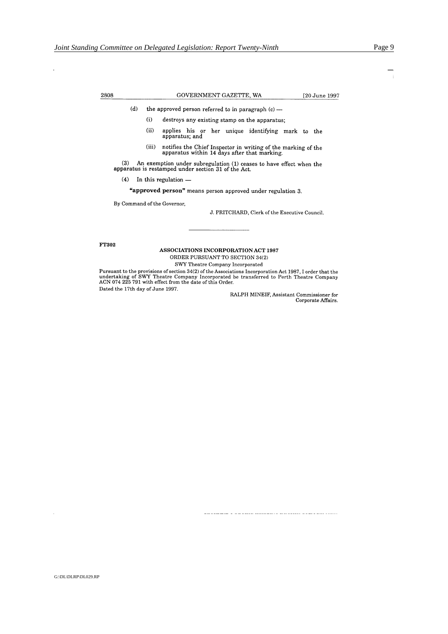GOVERNMENT GAZETTE, WA

[20 June 1997

 $(d)$ the approved person referred to in paragraph  $(c)$  -

- $(i)$ destroys any existing stamp on the apparatus;
- $(ii)$ applies his or her unique identifying mark to the apparatus; and
- notifies the Chief Inspector in writing of the marking of the apparatus within 14 days after that marking.  $(iii)$

(3) An exemption under subregulation (1) ceases to have effect when the apparatus is restamped under section 31 of the Act.

 $(4)$  In this regulation —

"approved person" means person approved under regulation 3.

By Command of the Governor.

J. PRITCHARD, Clerk of the Executive Council.

FT302

2808

#### **ASSOCIATIONS INCORPORATION ACT 1987** ORDER PURSUANT TO SECTION 34(2)

SWY Theatre Company Incorporated

Pursuant to the provisions of section 34(2) of the Associations Incorperation Act 1987, I order that the undertaking of SWY Theatre Company Incorporated be transferred to Perth Theatre Company ACN 074 225 791 with effect f Dated the 17th day of June 1997.

RALPH MINEIF, Assistant Commissioner for Corporate Affairs.

anang a caraang anggunit sanggunit canaan mangarang s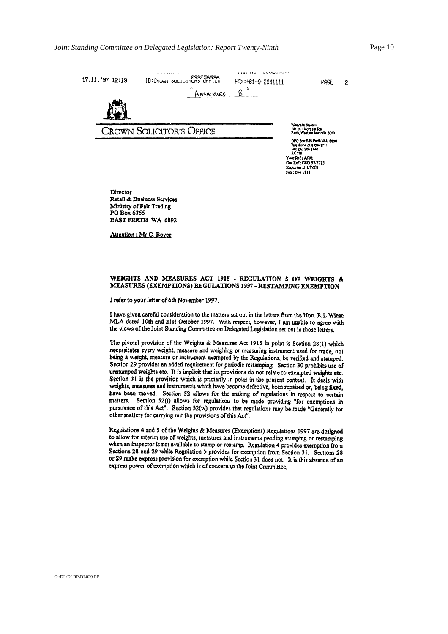

Retail & Business Services Ministry of Fair Trading PO Box 6355 **EAST PERTH WA 6892** 

Attention: Mr.C. Boyce

#### WEIGHTS AND MEASURES ACT 1915 - REGULATION 5 OF WEIGHTS & MEASURES (EXEMPTIONS) REGULATIONS 1997 - RESTAMPING EXEMPTION

I refer to your letter of 6th November 1997.

I have given careful consideration to the matters set out in the letters from the Hon, R.L. Wiese MLA dated 10th and 21st October 1997. With respect, however, I am unable to agree with the views of the Joint Standing Committee on Delegated Legislation set out in those letters.

The pivotal provision of the Weights & Measures Act 1915 in point is Section 28(1) which necessitates every weight, measure and weighing or measuring instrument used for trade, not being a weight, measure or instrument exempted by the Regulations, be verified and stamped. Section 29 provides an added requirement for periodic restamping. Section 30 prohibits use of unstamped weights etc. It is implicit that its provisions do not relate to exempted weights etc. Section 31 is the provision which is primarily in point in the present context. It deals with weights, measures and instruments which have become defective, been repaired or, being fixed, have been moved. Section 52 allows for the making of regulations in respect to certain matters. Section 52(t) allows for regulations to be made providing "for exemptions in pursuance of this Act<sup>4</sup>. Section 52(w) provides that regulations may be made "Generally for other matters for carrying out the provisions of this Act".

Regulations 4 and 5 of the Weights & Measures (Exemptions) Regulations 1997 are designed to allow for interim use of weights, measures and instruments pending stamping or restamping when an inspector is not available to stamp or restamp. Regulation 4 provides exemption from Sections 28 and 29 while Regulation 5 provides for exemption from Section 31. Sections 28 or 29 make express provision for exemption while Section 31 does not. It is this absence of an express power of exemption which is of concern to the Joint Committee.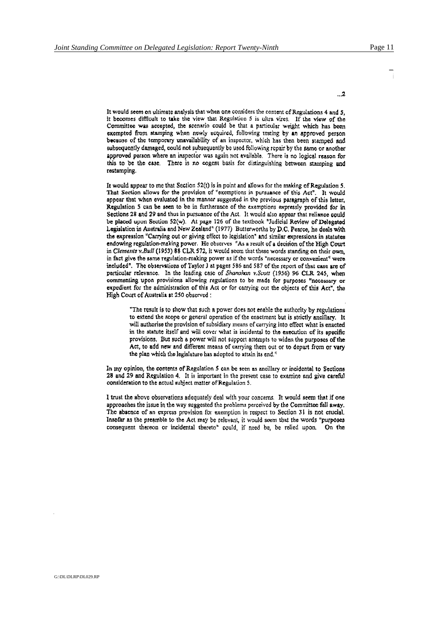$\overline{2}$ 

It would seem on ultimate analysis that when one considers the content of Regulations 4 and 5, it becomes difficult to take the view that Regulation 5 is ultra vires. If the view of the Committee was accepted, the scenario could be that a particular weight which has been exempted from stamping when newly acquired, following testing by an approved person because of the temporary unavailability of an inspector, which has then been stamped and subsequently damaged, could not subsequently be used following repair by the same or another approved person where an inspector was again not available. There is no logical reason for this to be the case. There is no cogent basis for distinguishing between stamping and restamping.

It would appear to me that Section  $52(t)$  is in point and allows for the making of Regulation 5. That Section allows for the provision of "exemptions in pursuance of this Act". It would appear that when evaluated in the manner suggested in the previous paragraph of this letter, Regulation 5 can be seen to be in furtherance of the exemptions expressly provided for in Sections 28 and 29 and thus in pursuance of the Act. It would also appear that reliance could be placed upon Section 52(w). At page 126 of the textbook "Judicial Review of Delegated Legislation in Australia and New Zealand" (1977) Butterworths by D.C. Pearce, he deals with the expression "Carrying out or giving effect to legislation" and similar expressions in statutes endowing regulation-making power. He observes "As a result of a decision of the High Court in Clements v.Bull (1953) 88 CLR 572, it would seem that these words standing on their own. in fact give the same regulation-making power as if the words "necessary or convenient" were included". The observations of Taylor I at pages 586 and 587 of the report of that case are of particular relevance. In the leading case of Shanahan v.Scott (1956) 96 CLR 245, when commenting upon provisions allowing regulations to be made for purposes "necessary or expedient for the administration of this Act or for carrying out the objects of this Act", the High Court of Australia at 250 observed :

"The result is to show that such a power does not enable the authority by regulations to extend the scope or general operation of the enactment but is strictly ancillary. It will authorise the provision of subsidiary means of carrying into effect what is enacted in the statute itself and will cover what is incidental to the execution of its specific provisions. But such a power will not support attempts to widen the purposes of the Act, to add new and different means of carrying them out or to depart from or vary the plan which the legislature has adopted to attain its end."

In my opinion, the contents of Regulation 5 can be seen as ancillary or incidental to Sections 28 and 29 and Regulation 4. It is important in the present case to examine and give careful consideration to the actual subject matter of Regulation 5.

I trust the above observations adequately deal with your concerns. It would seem that if one approaches the issue in the way suggested the problems perceived by the Committee fall away. The absence of an express provision for exemption in respect to Section 31 is not crucial. Insofar as the preamble to the Act may be relevant, it would seem that the words "purposes consequent thereon or incidental thereto" could, if need be, be relied upon. On the